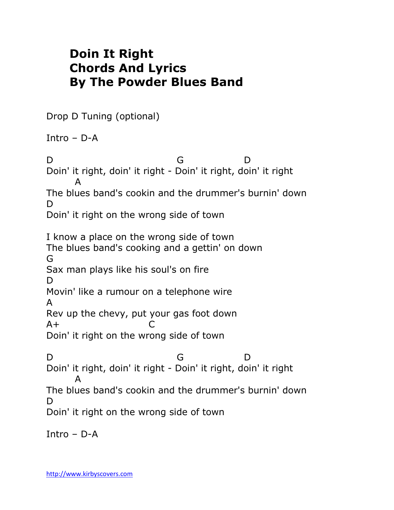## **Doin It Right Chords And Lyrics By The Powder Blues Band**

Drop D Tuning (optional)

Intro – D-A

D G D Doin' it right, doin' it right - Doin' it right, doin' it right A The blues band's cookin and the drummer's burnin' down D. Doin' it right on the wrong side of town I know a place on the wrong side of town The blues band's cooking and a gettin' on down G Sax man plays like his soul's on fire D. Movin' like a rumour on a telephone wire A Rev up the chevy, put your gas foot down  $A+$  C Doin' it right on the wrong side of town D G D Doin' it right, doin' it right - Doin' it right, doin' it right A The blues band's cookin and the drummer's burnin' down D Doin' it right on the wrong side of town

Intro – D-A